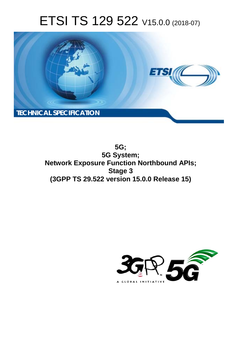# ETSI TS 129 522 V15.0.0 (2018-07)



**5G; 5G System; Network Exposure Function Northbound APIs; Stage 3 (3GPP TS 29.522 version 15.0.0 Release 15)** 

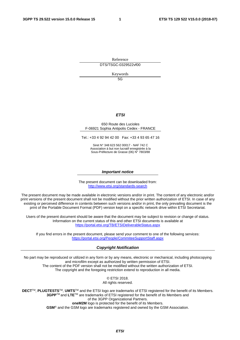Reference DTS/TSGC-0329522vf00

Keywords  $5G$ 

### *ETSI*

#### 650 Route des Lucioles F-06921 Sophia Antipolis Cedex - FRANCE

Tel.: +33 4 92 94 42 00 Fax: +33 4 93 65 47 16

Siret N° 348 623 562 00017 - NAF 742 C Association à but non lucratif enregistrée à la Sous-Préfecture de Grasse (06) N° 7803/88

#### *Important notice*

The present document can be downloaded from: <http://www.etsi.org/standards-search>

The present document may be made available in electronic versions and/or in print. The content of any electronic and/or print versions of the present document shall not be modified without the prior written authorization of ETSI. In case of any existing or perceived difference in contents between such versions and/or in print, the only prevailing document is the print of the Portable Document Format (PDF) version kept on a specific network drive within ETSI Secretariat.

Users of the present document should be aware that the document may be subject to revision or change of status. Information on the current status of this and other ETSI documents is available at <https://portal.etsi.org/TB/ETSIDeliverableStatus.aspx>

If you find errors in the present document, please send your comment to one of the following services: <https://portal.etsi.org/People/CommiteeSupportStaff.aspx>

#### *Copyright Notification*

No part may be reproduced or utilized in any form or by any means, electronic or mechanical, including photocopying and microfilm except as authorized by written permission of ETSI. The content of the PDF version shall not be modified without the written authorization of ETSI. The copyright and the foregoing restriction extend to reproduction in all media.

> © ETSI 2018. All rights reserved.

**DECT**TM, **PLUGTESTS**TM, **UMTS**TM and the ETSI logo are trademarks of ETSI registered for the benefit of its Members. **3GPP**TM and **LTE**TM are trademarks of ETSI registered for the benefit of its Members and of the 3GPP Organizational Partners. **oneM2M** logo is protected for the benefit of its Members.

**GSM**® and the GSM logo are trademarks registered and owned by the GSM Association.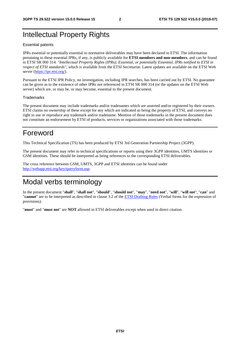# Intellectual Property Rights

#### Essential patents

IPRs essential or potentially essential to normative deliverables may have been declared to ETSI. The information pertaining to these essential IPRs, if any, is publicly available for **ETSI members and non-members**, and can be found in ETSI SR 000 314: *"Intellectual Property Rights (IPRs); Essential, or potentially Essential, IPRs notified to ETSI in respect of ETSI standards"*, which is available from the ETSI Secretariat. Latest updates are available on the ETSI Web server ([https://ipr.etsi.org/\)](https://ipr.etsi.org/).

Pursuant to the ETSI IPR Policy, no investigation, including IPR searches, has been carried out by ETSI. No guarantee can be given as to the existence of other IPRs not referenced in ETSI SR 000 314 (or the updates on the ETSI Web server) which are, or may be, or may become, essential to the present document.

#### **Trademarks**

The present document may include trademarks and/or tradenames which are asserted and/or registered by their owners. ETSI claims no ownership of these except for any which are indicated as being the property of ETSI, and conveys no right to use or reproduce any trademark and/or tradename. Mention of those trademarks in the present document does not constitute an endorsement by ETSI of products, services or organizations associated with those trademarks.

# Foreword

This Technical Specification (TS) has been produced by ETSI 3rd Generation Partnership Project (3GPP).

The present document may refer to technical specifications or reports using their 3GPP identities, UMTS identities or GSM identities. These should be interpreted as being references to the corresponding ETSI deliverables.

The cross reference between GSM, UMTS, 3GPP and ETSI identities can be found under [http://webapp.etsi.org/key/queryform.asp.](http://webapp.etsi.org/key/queryform.asp)

# Modal verbs terminology

In the present document "**shall**", "**shall not**", "**should**", "**should not**", "**may**", "**need not**", "**will**", "**will not**", "**can**" and "**cannot**" are to be interpreted as described in clause 3.2 of the [ETSI Drafting Rules](https://portal.etsi.org/Services/editHelp!/Howtostart/ETSIDraftingRules.aspx) (Verbal forms for the expression of provisions).

"**must**" and "**must not**" are **NOT** allowed in ETSI deliverables except when used in direct citation.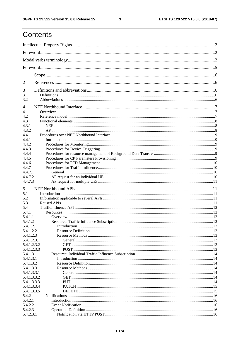$\mathbf{3}$ 

# Contents

| 1                      |  |  |  |  |  |  |
|------------------------|--|--|--|--|--|--|
| 2                      |  |  |  |  |  |  |
| 3                      |  |  |  |  |  |  |
| 3.1                    |  |  |  |  |  |  |
| 3.2                    |  |  |  |  |  |  |
| 4                      |  |  |  |  |  |  |
| 4.1                    |  |  |  |  |  |  |
| 4.2                    |  |  |  |  |  |  |
| 4.3                    |  |  |  |  |  |  |
| 4.3.1<br>4.3.2         |  |  |  |  |  |  |
| 4.4                    |  |  |  |  |  |  |
| 4.4.1                  |  |  |  |  |  |  |
| 4.4.2                  |  |  |  |  |  |  |
| 4.4.3                  |  |  |  |  |  |  |
| 4.4.4                  |  |  |  |  |  |  |
| 4.4.5                  |  |  |  |  |  |  |
| 4.4.6                  |  |  |  |  |  |  |
| 4.4.7                  |  |  |  |  |  |  |
| 4.4.7.1                |  |  |  |  |  |  |
| 4.4.7.2                |  |  |  |  |  |  |
| 4.4.7.3                |  |  |  |  |  |  |
| 5                      |  |  |  |  |  |  |
| 5.1                    |  |  |  |  |  |  |
| 5.2                    |  |  |  |  |  |  |
| 5.3                    |  |  |  |  |  |  |
| 5.4                    |  |  |  |  |  |  |
| 5.4.1<br>5.4.1.1       |  |  |  |  |  |  |
| 5.4.1.2                |  |  |  |  |  |  |
| 5.4.1.2.1              |  |  |  |  |  |  |
| 5.4.1.2.2              |  |  |  |  |  |  |
| 5.4.1.2.3              |  |  |  |  |  |  |
| 5.4.1.2.3.1            |  |  |  |  |  |  |
| 5.4.1.2.3.2            |  |  |  |  |  |  |
| 5.4.1.2.3.3            |  |  |  |  |  |  |
| 5.4.1.3                |  |  |  |  |  |  |
| 5.4.1.3.1<br>5.4.1.3.2 |  |  |  |  |  |  |
| 5.4.1.3.3              |  |  |  |  |  |  |
| 5.4.1.3.3.1            |  |  |  |  |  |  |
| 5.4.1.3.3.2            |  |  |  |  |  |  |
| 5.4.1.3.3.3            |  |  |  |  |  |  |
| 5.4.1.3.3.4            |  |  |  |  |  |  |
| 5.4.1.3.3.5            |  |  |  |  |  |  |
| 5.4.2                  |  |  |  |  |  |  |
| 5.4.2.1                |  |  |  |  |  |  |
| 5.4.2.2                |  |  |  |  |  |  |
| 5.4.2.3                |  |  |  |  |  |  |
| 5.4.2.3.1              |  |  |  |  |  |  |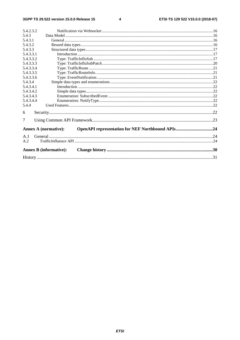#### $\overline{\mathbf{4}}$

| 5.4.2.3.2 |                                                                                 |  |  |  |  |  |  |
|-----------|---------------------------------------------------------------------------------|--|--|--|--|--|--|
| 5.4.3     |                                                                                 |  |  |  |  |  |  |
| 5.4.3.1   |                                                                                 |  |  |  |  |  |  |
| 5.4.3.2   |                                                                                 |  |  |  |  |  |  |
| 5.4.3.3   |                                                                                 |  |  |  |  |  |  |
| 5.4.3.3.1 |                                                                                 |  |  |  |  |  |  |
| 5.4.3.3.2 |                                                                                 |  |  |  |  |  |  |
| 5.4.3.3.3 |                                                                                 |  |  |  |  |  |  |
| 5.4.3.3.4 |                                                                                 |  |  |  |  |  |  |
| 5.4.3.3.5 |                                                                                 |  |  |  |  |  |  |
| 5.4.3.3.6 |                                                                                 |  |  |  |  |  |  |
| 5.4.3.4   |                                                                                 |  |  |  |  |  |  |
| 5.4.3.4.1 |                                                                                 |  |  |  |  |  |  |
| 5.4.3.4.2 |                                                                                 |  |  |  |  |  |  |
| 5.4.3.4.3 |                                                                                 |  |  |  |  |  |  |
| 5.4.3.4.4 |                                                                                 |  |  |  |  |  |  |
| 5.4.4     |                                                                                 |  |  |  |  |  |  |
| 6         |                                                                                 |  |  |  |  |  |  |
| 7         |                                                                                 |  |  |  |  |  |  |
|           | OpenAPI representation for NEF Northbound APIs24<br><b>Annex A (normative):</b> |  |  |  |  |  |  |
| A.1       |                                                                                 |  |  |  |  |  |  |
| A.2       |                                                                                 |  |  |  |  |  |  |
|           | <b>Annex B</b> (informative):                                                   |  |  |  |  |  |  |
|           |                                                                                 |  |  |  |  |  |  |
|           |                                                                                 |  |  |  |  |  |  |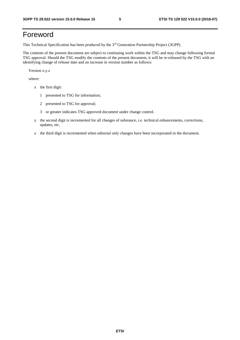# Foreword

This Technical Specification has been produced by the 3rd Generation Partnership Project (3GPP).

The contents of the present document are subject to continuing work within the TSG and may change following formal TSG approval. Should the TSG modify the contents of the present document, it will be re-released by the TSG with an identifying change of release date and an increase in version number as follows:

Version x.y.z

where:

- x the first digit:
	- 1 presented to TSG for information;
	- 2 presented to TSG for approval;
	- 3 or greater indicates TSG approved document under change control.
- y the second digit is incremented for all changes of substance, i.e. technical enhancements, corrections, updates, etc.
- z the third digit is incremented when editorial only changes have been incorporated in the document.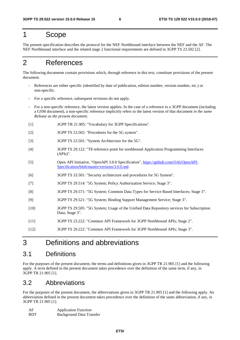# 1 Scope

The present specification describes the protocol for the NEF Northbound interface between the NEF and the AF. The NEF Northbound interface and the related stage 2 functional requirements are defined in 3GPP TS 23.502 [2].

# 2 References

The following documents contain provisions which, through reference in this text, constitute provisions of the present document.

- References are either specific (identified by date of publication, edition number, version number, etc.) or non-specific.
- For a specific reference, subsequent revisions do not apply.
- For a non-specific reference, the latest version applies. In the case of a reference to a 3GPP document (including a GSM document), a non-specific reference implicitly refers to the latest version of that document *in the same Release as the present document*.
- [1] 3GPP TR 21.905: "Vocabulary for 3GPP Specifications".
- [2] 3GPP TS 23.502: "Procedures for the 5G system".
- [3] 3GPP TS 23.501: "System Architecture for the 5G".
- [4] 3GPP TS 29.122: "T8 reference point for northbound Application Programming Interfaces (APIs)".
- [5] Open API Initiative, "OpenAPI 3.0.0 Specification", [https://github.com/OAI/OpenAPI-](https://github.com/OAI/OpenAPI-Specification/blob/master/versions/3.0.0.md)[Specification/blob/master/versions/3.0.0.md](https://github.com/OAI/OpenAPI-Specification/blob/master/versions/3.0.0.md).
- [6] 3GPP TS 33.501: "Security architecture and procedures for 5G System".
- [7] 3GPP TS 29.514: "5G System; Policy Authorization Service; Stage 3".
- [8] 3GPP TS 29.571: "5G System; Common Data Types for Service Based Interfaces; Stage 3".
- [9] 3GPP TS 29.521: "5G System; Binding Support Management Service; Stage 3".
- [10] 3GPP TS 29.505: "5G System; Usage of the Unified Data Repository services for Subscription Data; Stage 3".
- [11] 3GPP TS 23.222: "Common API Framework for 3GPP Northbound APIs; Stage 2".
- [12] 3GPP TS 29.222: "Common API Framework for 3GPP Northbound APIs; Stage 3".

# 3 Definitions and abbreviations

# 3.1 Definitions

For the purposes of the present document, the terms and definitions given in 3GPP TR 21.905 [1] and the following apply. A term defined in the present document takes precedence over the definition of the same term, if any, in 3GPP TR 21.905 [1].

# 3.2 Abbreviations

For the purposes of the present document, the abbreviations given in 3GPP TR 21.905 [1] and the following apply. An abbreviation defined in the present document takes precedence over the definition of the same abbreviation, if any, in 3GPP TR 21.905 [1].

| AF         | <b>Application Function</b>     |
|------------|---------------------------------|
| <b>BDT</b> | <b>Background Data Transfer</b> |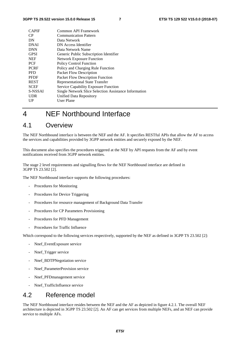| <b>CAPIF</b> | Common API Framework                                  |
|--------------|-------------------------------------------------------|
| CP           | <b>Communication Pattern</b>                          |
| DN           | Data Network                                          |
| <b>DNAI</b>  | DN Access Identifier                                  |
| <b>DNN</b>   | Data Network Name                                     |
| <b>GPSI</b>  | Generic Public Subscription Identifier                |
| <b>NEF</b>   | <b>Network Exposure Function</b>                      |
| <b>PCF</b>   | <b>Policy Control Function</b>                        |
| <b>PCRF</b>  | Policy and Charging Rule Function                     |
| <b>PFD</b>   | Packet Flow Description                               |
| <b>PFDF</b>  | Packet Flow Description Function                      |
| <b>REST</b>  | Representational State Transfer                       |
| <b>SCEF</b>  | <b>Service Capability Exposure Function</b>           |
| S-NSSAI      | Single Network Slice Selection Assistance Information |
| <b>UDR</b>   | Unified Data Repository                               |
| $_{\rm UP}$  | User Plane                                            |
|              |                                                       |

# 4 NEF Northbound Interface

## 4.1 Overview

The NEF Northbound interface is between the NEF and the AF. It specifies RESTful APIs that allow the AF to access the services and capabilities provided by 3GPP network entities and securely exposed by the NEF.

This document also specifies the procedures triggered at the NEF by API requests from the AF and by event notifications received from 3GPP network entities.

The stage 2 level requirements and signalling flows for the NEF Northbound interface are defined in 3GPP TS 23.502 [2].

The NEF Northbound interface supports the following procedures:

- Procedures for Monitoring
- Procedures for Device Triggering
- Procedures for resource management of Background Data Transfer
- Procedures for CP Parameters Provisioning
- Procedures for PFD Management
- Procedures for Traffic Influence

Which correspond to the following services respectively, supported by the NEF as defined in 3GPP TS 23.502 [2]:

- Nnef\_EventExposure service
- Nnef\_Trigger service
- Nnef\_BDTPNegotiation service
- Nnef ParameterProvision service
- Nnef PFDmanagement service
- Nnef TrafficInfluence service

# 4.2 Reference model

The NEF Northbound interface resides between the NEF and the AF as depicted in figure 4.2.1. The overall NEF architecture is depicted in 3GPP TS 23.502 [2]. An AF can get services from multiple NEFs, and an NEF can provide service to multiple AFs.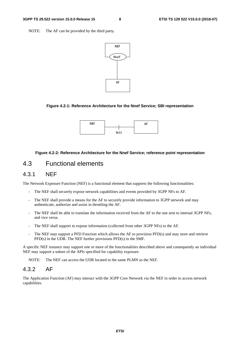NOTE: The AF can be provided by the third party.



#### **Figure 4.2-1: Reference Architecture for the Nnef Service; SBI representation**



#### **Figure 4.2-2: Reference Architecture for the Nnef Service; reference point representation**

# 4.3 Functional elements

#### 4.3.1 NEF

The Network Exposure Function (NEF) is a functional element that supports the following functionalities:

- The NEF shall securely expose network capabilities and events provided by 3GPP NFs to AF.
- The NEF shall provide a means for the AF to securely provide information to 3GPP network and may authenticate, authorize and assist in throttling the AF.
- The NEF shall be able to translate the information received from the AF to the one sent to internal 3GPP NFs, and vice versa.
- The NEF shall support to expose information (collected from other 3GPP NFs) to the AF.
- The NEF may support a PFD Function which allows the AF to provision PFD(s) and may store and retrieve PFD(s) in the UDR. The NEF further provisions PFD(s) to the SMF.

A specific NEF instance may support one or more of the functionalities described above and consequently an individual NEF may support a subset of the APIs specified for capability exposure.

NOTE: The NEF can access the UDR located in the same PLMN as the NEF.

### 4.3.2 AF

The Application Function (AF) may interact with the 3GPP Core Network via the NEF in order to access network capabilities.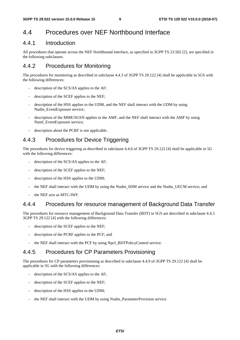# 4.4 Procedures over NEF Northbound Interface

### 4.4.1 Introduction

All procedures that operate across the NEF Northbound interface, as specified in 3GPP TS 23.502 [2], are specified in the following subclauses.

# 4.4.2 Procedures for Monitoring

The procedures for monitoring as described in subclause 4.4.3 of 3GPP TS 29.122 [4] shall be applicable in 5GS with the following differences:

- description of the SCS/AS applies to the AF;
- description of the SCEF applies to the NEF;
- description of the HSS applies to the UDM, and the NEF shall interact with the UDM by using Nudm\_EventExposure service:
- description of the MME/SGSN applies to the AMF, and the NEF shall interact with the AMF by using Namf\_EventExposure service;
- description about the PCRF is not applicable.

## 4.4.3 Procedures for Device Triggering

The procedures for device triggering as described in subclause 4.4.6 of 3GPP TS 29.122 [4] shall be applicable in 5G with the following differences:

- description of the SCS/AS applies to the AF;
- description of the SCEF applies to the NEF;
- description of the HSS applies to the UDM;
- the NEF shall interact with the UDM by using the Nudm\_SDM service and the Nudm\_UECM service; and
- the NEF acts as MTC-IWF.

### 4.4.4 Procedures for resource management of Background Data Transfer

The procedures for resource management of Background Data Transfer (BDT) in 5GS are described in subclause 4.4.3 3GPP TS 29.122 [4] with the following differences:

- description of the SCEF applies to the NEF;
- description of the PCRF applies to the PCF; and
- the NEF shall interact with the PCF by using Npcf\_BDTPolicyControl service.

# 4.4.5 Procedures for CP Parameters Provisioning

The procedures for CP parameters provisioning as described in subclause 4.4.9 of 3GPP TS 29.122 [4] shall be applicable in 5G with the following differences:

- description of the SCS/AS applies to the AF;
- description of the SCEF applies to the NEF;
- description of the HSS applies to the UDM;
- the NEF shall interact with the UDM by using Nudm\_ParameterProvision service.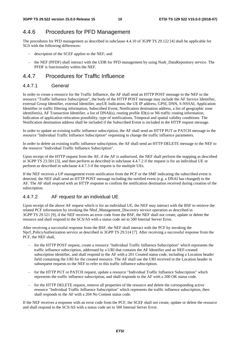# 4.4.6 Procedures for PFD Management

The procedures for PFD management as described in subclause 4.4.10 of 3GPP TS 29.122 [4] shall be applicable for 5GS with the following differences:

- description of the SCEF applies to the NEF; and
- the NEF (PFDF) shall interact with the UDR for PFD management by using Nudr\_DataRepository service. The PFDF is functionality within the NEF.

### 4.4.7 Procedures for Traffic Influence

#### 4.4.7.1 General

In order to create a resource for the Traffic Influence, the AF shall send an HTTP POST message to the NEF to the resource "Traffic Influence Subscription", the body of the HTTP POST message may include the AF Service Identifier, external Group Identifier, external Identifier, anyUE Indication, the UE IP address, GPSI, DNN, S-NSSAI, Application Identifier or traffic filtering information, Subscribed Event, Notification destination address, a list of geographic zone identifier(s), AF Transaction Identifier, a list of DNAI(s), routing profile ID(s) or N6 traffic routing information, Indication of application relocation possibility, type of notifications, Temporal and spatial validity conditions. The Notification destination address shall be included if the Subscribed Event is included in the HTTP request message.

In order to update an existing traffic influence subscription, the AF shall send an HTTP PUT or PATCH message to the resource "Individual Traffic Influence Subscription" requesting to change the traffic influence parameters.

In order to delete an existing traffic influence subscription, the AF shall send an HTTP DELETE message to the NEF to the resource "Individual Traffic Influence Subscription".

Upon receipt of the HTTP request from the AF, if the AF is authorized, the NEF shall perform the mapping as described in 3GPP TS 23.501 [3], and then perform as described in subclause 4.4.7.2 if the request is for an individual UE or perform as described in subclause 4.4.7.3 if the request is for multiple UEs.

If the NEF receives a UP management event notification from the PCF or the SMF indicating the subscribed event is detected, the NEF shall send an HTTP POST message including the notified event (e.g. a DNAI has changed) to the AF. The AF shall respond with an HTTP response to confirm the notification destination received during creation of the subscription.

#### 4.4.7.2 AF request for an individual UE

Upon receipt of the above AF request which is for an individual UE, the NEF may interact with the BSF to retrieve the related PCF information by invoking the Nbsf\_Management\_Discovery service operation as described in 3GPP TS 29.521 [9], if the NEF receives an error code from the BSF, the NEF shall not create, update or delete the resource and shall respond to the SCS/AS with a status code set to 500 Internal Server Error.

After receiving a successful response from the BSF, the NEF shall interact with the PCF by invoking the Npcf PolicyAuthorization service as described in 3GPP TS 29.514 [7]. After receiving a successful response from the PCF, the NEF shall,

- for the HTTP POST request, create a resource "Individual Traffic Influence Subscription" which represents the traffic influence subscription, addressed by a URI that contains the AF Identifier and an NEF-created subscription identifier, and shall respond to the AF with a 201 Created status code, including a Location header field containing the URI for the created resource. The AF shall use the URI received in the Location header in subsequent requests to the NEF to refer to this traffic influence subscription.
- for the HTTP PUT or PATCH request, update a resource "Individual Traffic Influence Subscription" which represents the traffic influence subscription, and shall responds to the AF with a 200 OK status code.
- for the HTTP DELETE request, remove all properties of the resource and delete the corresponding active resource "Individual Traffic Influence Subscription" which represents the traffic influence subscription, then shall responds to the AF with a 204 No Content status code.

If the NEF receives a response with an error code from the PCF, the SCEF shall not create, update or delete the resource and shall respond to the SCS/AS with a status code set to 500 Internal Server Error.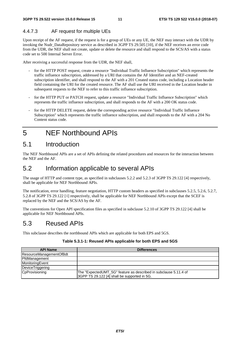### 4.4.7.3 AF request for multiple UEs

Upon receipt of the AF request, if the request is for a group of UEs or any UE, the NEF may interact with the UDR by invoking the Nudr\_DataRepository service as described in 3GPP TS 29.505 [10], if the NEF receives an error code from the UDR, the NEF shall not create, update or delete the resource and shall respond to the SCS/AS with a status code set to 500 Internal Server Error.

After receiving a successful response from the UDR, the NEF shall,

- for the HTTP POST request, create a resource "Individual Traffic Influence Subscription" which represents the traffic influence subscription, addressed by a URI that contains the AF Identifier and an NEF-created subscription identifier, and shall respond to the AF with a 201 Created status code, including a Location header field containing the URI for the created resource. The AF shall use the URI received in the Location header in subsequent requests to the NEF to refer to this traffic influence subscription.
- for the HTTP PUT or PATCH request, update a resource "Individual Traffic Influence Subscription" which represents the traffic influence subscription, and shall responds to the AF with a 200 OK status code.
- for the HTTP DELETE request, delete the corresponding active resource "Individual Traffic Influence Subscription" which represents the traffic influence subscription, and shall responds to the AF with a 204 No Content status code.

# 5 NEF Northbound APIs

# 5.1 Introduction

The NEF Northbound APIs are a set of APIs defining the related procedures and resources for the interaction between the NEF and the AF.

# 5.2 Information applicable to several APIs

The usage of HTTP and content type, as specified in subclauses 5.2.2 and 5.2.3 of 3GPP TS 29.122 [4] respectively, shall be applicable for NEF Northbound APIs.

The notification, error handling, feature negotiation, HTTP custom headers as specified in subclauses 5.2.5, 5.2.6, 5.2.7, 5.2.8 of 3GPP TS 29.122 [4] respectively, shall be applicable for NEF Northbound APIs except that the SCEF is replaced by the NEF and the SCS/AS by the AF.

The conventions for Open API specification files as specified in subclause 5.2.10 of 3GPP TS 29.122 [4] shall be applicable for NEF Northbound APIs.

# 5.3 Reused APIs

This subclause describes the northbound APIs which are applicable for both EPS and 5GS.

#### **Table 5.3.1-1: Reused APIs applicable for both EPS and 5GS**

| <b>API Name</b>         | <b>Differences</b>                                                                                               |
|-------------------------|------------------------------------------------------------------------------------------------------------------|
| ResourceManagementOfBdt |                                                                                                                  |
| PfdManagement           |                                                                                                                  |
| MonitoringEvent         |                                                                                                                  |
| DeviceTriggering        |                                                                                                                  |
| CpProvisioning          | The "ExpectedUMT_5G" feature as described in subclause 5.11.4 of<br>3GPP TS 29.122 [4] shall be supported in 5G. |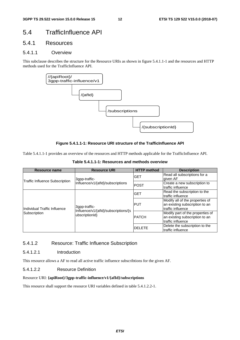# 5.4 TrafficInfluence API

### 5.4.1 Resources

#### 5.4.1.1 Overview

This subclause describes the structure for the Resource URIs as shown in figure 5.4.1.1-1 and the resources and HTTP methods used for the TrafficInfluence API.



#### **Figure 5.4.1.1-1: Resource URI structure of the TrafficInfluence API**

Table 5.4.1.1-1 provides an overview of the resources and HTTP methods applicable for the TrafficInfluence API.

| Resource name                  | <b>Resource URI</b>                                   | <b>HTTP</b> method | <b>Description</b>                                                                      |
|--------------------------------|-------------------------------------------------------|--------------------|-----------------------------------------------------------------------------------------|
|                                | <b>3</b> gpp-traffic-                                 | <b>GET</b>         | Read all subscriptions for a<br>given AF                                                |
| Traffic Influence Subscription | Influence/v1/{afld}/subscriptions                     | <b>POST</b>        | Create a new subscription to<br>traffic influence                                       |
|                                |                                                       | <b>GET</b>         | Read the subscription to the<br>traffic influence                                       |
| IIndividual Traffic Influence  | 3qpp-traffic-<br>Influence/v1/{afld}/subscriptions/{s | IPUT               | Modify all of the properties of<br>an existing subscription to an<br>traffic influence  |
| Subscription                   | ubscriptionId}                                        | <b>PATCH</b>       | Modify part of the properties of<br>an existing subscription to an<br>traffic influence |
|                                |                                                       | <b>IDELETE</b>     | Delete the subscription to the<br>traffic influence                                     |

**Table 5.4.1.1-1: Resources and methods overview** 

#### 5.4.1.2 Resource: Traffic Influence Subscription

#### 5.4.1.2.1 Introduction

This resource allows a AF to read all active traffic influence subscribtions for the given AF.

#### 5.4.1.2.2 Resource Definition

#### Resource URI: **{apiRoot}/3gpp-traffic-influence/v1/{afId}/subscriptions**

This resource shall support the resource URI variables defined in table 5.4.1.2.2-1.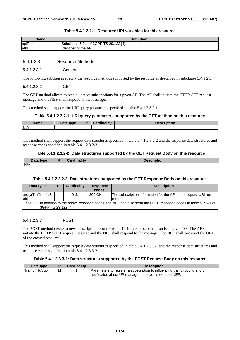| Name    | <b>Definition</b>                                            |
|---------|--------------------------------------------------------------|
| apiRoot | ' of 3GPP TS 29.<br>$.122$ [4].<br>$\sim$<br>Δ<br>Subclause: |
| lafld   | <b>Ildentifier of the AF.</b>                                |

#### **Table 5.4.1.2.2-1: Resource URI variables for this resource**

#### 5.4.1.2.3 Resource Methods

5.4.1.2.3.1 General

The following subclauses specify the resource methods supported by the resource as described in subclause 5.4.1.2.3.

#### 5.4.1.2.3.2 GET

The GET method allows to read all active subscriptions for a given AF. The AF shall initiate the HTTP GET request message and the NEF shall respond to the message.

This method shall support the URI query parameters specified in table 5.4.1.2.3.2-1.

#### **Table 5.4.1.2.3.2-1: URI query parameters supported by the GET method on this resource**

| <b>Name</b> | Data type<br>Putu | $\sim$ $\sim$ 10 $\sim$<br> | --- |
|-------------|-------------------|-----------------------------|-----|
| N/A         |                   |                             |     |
|             |                   |                             |     |

This method shall support the request data structures specified in table 5.4.1.2.3.2-2 and the response data structures and response codes specified in table 5.4.1.2.3.2-3.

#### **Table 5.4.1.2.3.2-2: Data structures supported by the GET Request Body on this resource**

| Data type | <b>Cordinality</b><br>$\sim$ | <b>Description</b> |
|-----------|------------------------------|--------------------|
| N/A       |                              |                    |

#### **Table 5.4.1.2.3.2-3: Data structures supported by the GET Response Body on this resource**

| Data type                                                                                                           | ▪ | Cardinality | <b>Response</b> | <b>Description</b>                                                          |  |
|---------------------------------------------------------------------------------------------------------------------|---|-------------|-----------------|-----------------------------------------------------------------------------|--|
|                                                                                                                     |   |             | codes           |                                                                             |  |
| array(TrafficInfluS<br>lub)                                                                                         |   | 0.N         | 200 OK          | The subscription information for the AF in the request URI are<br>returned. |  |
| In addition to the above response codes, the NEF can also send the HTTP response codes in table 5.2.6-1 of<br>NOTE: |   |             |                 |                                                                             |  |
| 3GPP TS 29.122 [4].                                                                                                 |   |             |                 |                                                                             |  |

#### 5.4.1.2.3.3 POST

The POST method creates a new subscription resource to traffic influence subscription for a given AF. The AF shall initiate the HTTP POST request message and the NEF shall respond to the message. The NEF shall construct the URI of the created resource.

This method shall support the request data structures specified in table 5.4.1.2.3.3-1 and the response data structures and response codes specified in table 5.4.1.2.3.3-2.

#### **Table 5.4.1.2.3.3-1: Data structures supported by the POST Request Body on this resource**

| Data type       |   | <b>Cardinality</b> | <b>Description</b>                                                          |  |
|-----------------|---|--------------------|-----------------------------------------------------------------------------|--|
| TrafficInfluSub | M |                    | Parameters to register a subscription to influencing traffic routing and/or |  |
|                 |   |                    | Inotification about UP management events with the NEF.                      |  |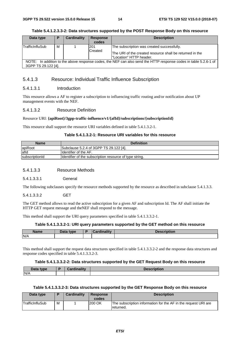| Data type                                                                                                        | P | Cardinality | <b>Response</b> | <b>Description</b>                                                                   |  |  |  |
|------------------------------------------------------------------------------------------------------------------|---|-------------|-----------------|--------------------------------------------------------------------------------------|--|--|--|
|                                                                                                                  |   |             | codes           |                                                                                      |  |  |  |
| TrafficInfluSub                                                                                                  | м |             | 1201            | The subscription was created successfully.                                           |  |  |  |
|                                                                                                                  |   |             | <b>Created</b>  | The URI of the created resource shall be returned in the<br>l"Location" HTTP header. |  |  |  |
| NOTE: In addition to the above response codes, the NEF can also send the HTTP response codes in table 5.2.6-1 of |   |             |                 |                                                                                      |  |  |  |
| 3GPP TS 29.122 [4].                                                                                              |   |             |                 |                                                                                      |  |  |  |

#### **Table 5.4.1.2.3.3-2: Data structures supported by the POST Response Body on this resource**

### 5.4.1.3 Resource: Individual Traffic Influence Subscription

#### 5.4.1.3.1 Introduction

This resource allows a AF to register a subscription to influencing traffic routing and/or notification about UP management events with the NEF.

#### 5.4.1.3.2 Resource Definition

#### Resource URI: **{apiRoot}/3gpp-traffic-influence/v1/{afId}/subscriptions/{subscriptionId}**

This resource shall support the resource URI variables defined in table 5.4.1.3.2-1.

#### **Table 5.4.1.3.2-1: Resource URI variables for this resource**

| <b>Name</b>    | <b>Definition</b>                                       |
|----------------|---------------------------------------------------------|
| apiRoot        | Subclause 5.2.4 of 3GPP TS 29.122 [4].                  |
| lafid          | <b>I</b> Identifier of the AF.                          |
| subscriptionId | Identifier of the subscription resource of type string. |

#### 5.4.1.3.3 Resource Methods

5.4.1.3.3.1 General

The following subclauses specify the resource methods supported by the resource as described in subclause 5.4.1.3.3.

5.4.1.3.3.2 GET

The GET method allows to read the active subscription for a given AF and subscription Id. The AF shall initiate the HTTP GET request message and theNEF shall respond to the message.

This method shall support the URI query parameters specified in table 5.4.1.3.3.2-1.

#### **Table 5.4.1.3.3.2-1: URI query parameters supported by the GET method on this resource**

| <b>Name</b> | Data type | <b>Pardinality</b> | <b>Execution</b> |
|-------------|-----------|--------------------|------------------|
| N/A         |           |                    |                  |

This method shall support the request data structures specified in table 5.4.1.3.3.2-2 and the response data structures and response codes specified in table 5.4.1.3.3.2-3.

#### **Table 5.4.1.3.3.2-2: Data structures supported by the GET Request Body on this resource**

| Data type<br>Dala | ordinolity<br>amanr<br>⊍a⊓ | <b>Description</b> |
|-------------------|----------------------------|--------------------|
| N/A               |                            |                    |

#### **Table 5.4.1.3.3.2-3: Data structures supported by the GET Response Body on this resource**

| Data type              |   | <b>Cardinality</b> | <b>Response</b><br>codes | <b>Description</b>                                                           |
|------------------------|---|--------------------|--------------------------|------------------------------------------------------------------------------|
| <b>TrafficInfluSub</b> | м |                    | 200 OK                   | The subscription information for the AF in the request URI are<br>Ireturned. |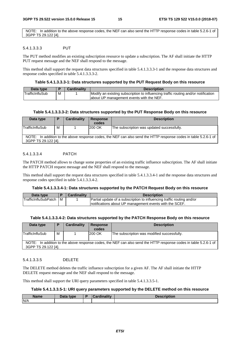NOTE: In addition to the above response codes, the NEF can also send the HTTP response codes in table 5.2.6-1 of 3GPP TS 29.122 [4].

#### 5.4.1.3.3.3 PUT

The PUT method modifies an existing subscription resource to update a subscription. The AF shall initiate the HTTP PUT request message and the NEF shall respond to the message.

This method shall support the request data structures specified in table 5.4.1.3.3.3-1 and the response data structures and response codes specified in table 5.4.1.3.3.3-2.

#### **Table 5.4.1.3.3.3-1: Data structures supported by the PUT Request Body on this resource**

| Data type       |   | <b>Cardinality</b> | <b>Description</b>                                                                 |
|-----------------|---|--------------------|------------------------------------------------------------------------------------|
| TrafficInfluSub | M |                    | Modify an existing subscription to influencing traffic routing and/or notification |
|                 |   |                    | about UP management events with the NEF.                                           |

#### **Table 5.4.1.3.3.3-2: Data structures supported by the PUT Response Body on this resource**

| Data type           |   | Cardinality | <b>Response</b><br>codes | <b>Description</b>                                                                                               |
|---------------------|---|-------------|--------------------------|------------------------------------------------------------------------------------------------------------------|
| TrafficInfluSub     | М |             | 200 OK                   | The subscription was updated successfully.                                                                       |
| 3GPP TS 29.122 [4]. |   |             |                          | NOTE: In addition to the above response codes, the NEF can also send the HTTP response codes in table 5.2.6-1 of |

#### 5.4.1.3.3.4 PATCH

The PATCH method allows to change some properties of an existing traffic influence subscription. The AF shall initiate the HTTP PATCH request message and the NEF shall respond to the message.

This method shall support the request data structures specified in table 5.4.1.3.3.4-1 and the response data structures and response codes specified in table 5.4.1.3.3.4-2.

#### **Table 5.4.1.3.3.4-1: Data structures supported by the PATCH Request Body on this resource**

| Data type                   |     | <b>Cardinality</b> | <b>Description</b>                                                     |
|-----------------------------|-----|--------------------|------------------------------------------------------------------------|
| <b>TrafficInfluSubPatch</b> | I M |                    | Partial update of a subscription to influencing traffic routing and/or |
|                             |     |                    | Inotifications about UP management events with the SCEF.               |

#### **Table 5.4.1.3.3.4-2: Data structures supported by the PATCH Response Body on this resource**

| Data type              |   | Cardinality | <b>Response</b> | <b>Description</b>                                                                                               |
|------------------------|---|-------------|-----------------|------------------------------------------------------------------------------------------------------------------|
|                        |   |             | codes           |                                                                                                                  |
| <b>TrafficInfluSub</b> | м |             | <b>200 OK</b>   | The subscription was modified successfully.                                                                      |
| 3GPP TS 29.122 [4].    |   |             |                 | NOTE: In addition to the above response codes, the NEF can also send the HTTP response codes in table 5.2.6-1 of |

#### 5.4.1.3.3.5 DELETE

The DELETE method deletes the traffic influence subscription for a given AF. The AF shall initiate the HTTP DELETE request message and the NEF shall respond to the message.

This method shall support the URI query parameters specified in table 5.4.1.3.3.5-1.

#### **Table 5.4.1.3.3.5-1: URI query parameters supported by the DELETE method on this resource**

| Name | <b>Pata type</b> | Cardinalitv | Description |
|------|------------------|-------------|-------------|
| N/A  |                  |             |             |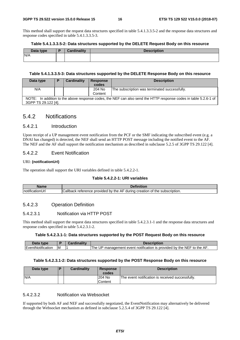This method shall support the request data structures specified in table 5.4.1.3.3.5-2 and the response data structures and response codes specified in table 5.4.1.3.3.5-3.

#### **Table 5.4.1.3.3.5-2: Data structures supported by the DELETE Request Body on this resource**

| Data type | D | <b>Cardinality</b> | <b>Description</b> |
|-----------|---|--------------------|--------------------|
| N/A       |   |                    |                    |
|           |   |                    |                    |

#### **Table 5.4.1.3.3.5-3: Data structures supported by the DELETE Response Body on this resource**

| Data type           | Ð | Cardinality | <b>Response</b> | <b>Description</b>                                                                                               |
|---------------------|---|-------------|-----------------|------------------------------------------------------------------------------------------------------------------|
|                     |   |             | codes           |                                                                                                                  |
| N/A                 |   |             | 204 No          | The subscription was terminated successfully.                                                                    |
|                     |   |             | Content         |                                                                                                                  |
|                     |   |             |                 | NOTE: In addition to the above response codes, the NEF can also send the HTTP response codes in table 5.2.6-1 of |
| 3GPP TS 29.122 [4]. |   |             |                 |                                                                                                                  |

#### 5.4.2 Notifications

#### 5.4.2.1 Introduction

Upon receipt of a UP management event notification from the PCF or the SMF indicating the subscribed event (e.g. a DNAI has changed) is detected, the NEF shall send an HTTP POST message including the notified event to the AF. The NEF and the AF shall support the notification mechanism as described in subclause 5.2.5 of 3GPP TS 29.122 [4].

#### 5.4.2.2 Event Notification

#### URI: **{notificationUrI}**

The operation shall support the URI variables defined in table 5.4.2.2-1.

#### **Table 5.4.2.2-1: URI variables**

| alam -<br>rame                      | n.                                                                                                          |
|-------------------------------------|-------------------------------------------------------------------------------------------------------------|
| ۰.<br>Inotific<br>.<br>onur<br>:атк | ≿allback<br>A۴<br>creation<br>provided<br>bv<br>the<br>subscription.<br>∵the .<br>during<br>reterence<br>OI |

#### 5.4.2.3 Operation Definition

#### 5.4.2.3.1 Notification via HTTP POST

This method shall support the request data structures specified in table 5.4.2.3.1-1 and the response data structures and response codes specified in table 5.4.2.3.1-2.

#### **Table 5.4.2.3.1-1: Data structures supported by the POST Request Body on this resource**

| Data<br>type                   |   | Description                                                              |
|--------------------------------|---|--------------------------------------------------------------------------|
| $\cdots$<br>IEventNotification | M | management event notification is provided by the NEF to the AF.<br>The I |

#### **Table 5.4.2.3.1-2: Data structures supported by the POST Response Body on this resource**

| Data type | l D | <b>Cardinality</b> | <b>Response</b><br>codes | <b>Description</b>                               |
|-----------|-----|--------------------|--------------------------|--------------------------------------------------|
| N/A       |     |                    | 204 No<br>Content        | The event notification is received successfully. |

#### 5.4.2.3.2 Notification via Websocket

If supported by both AF and NEF and successfully negotiated, the EventNotification may alternatively be delivered through the Websocket mechanism as defined in subclause 5.2.5.4 of 3GPP TS 29.122 [4].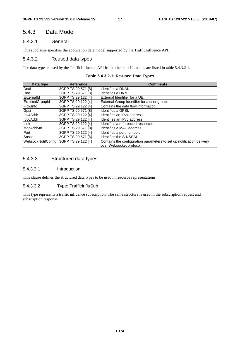### 5.4.3 Data Model

#### 5.4.3.1 General

This subclause specifies the application data model supported by the TrafficInfluence API.

#### 5.4.3.2 Reused data types

The data types reused by the TrafficInfluence API from other specifications are listed in table 5.4.3.2-1.

|  |  |  | Table 5.4.3.2-1: Re-used Data Types |  |  |
|--|--|--|-------------------------------------|--|--|
|--|--|--|-------------------------------------|--|--|

| Data type          | <b>Reference</b>   | <b>Comments</b>                                                                                   |
|--------------------|--------------------|---------------------------------------------------------------------------------------------------|
| Dnai               | 3GPP TS 29.571 [8] | Identifies a DNAI.                                                                                |
| D <sub>nn</sub>    | 3GPP TS 29.571 [8] | Identifies a DNN.                                                                                 |
| Externalld         | 3GPP TS 29.122 [4] | lExternal Identifier for a UE.                                                                    |
| ExternalGroupId    | 3GPP TS 29.122 [4] | External Group Identifier for a user group.                                                       |
| FlowInfo           | 3GPP TS 29.122 [4] | Contains the data flow information.                                                               |
| Gpsi               | 3GPP TS 29.571 [8] | Identifies a GPSI.                                                                                |
| Ipv4Addr           | 3GPP TS 29.122 [4] | Identifies an IPv4 address.                                                                       |
| Ipv6Addr           | 3GPP TS 29.122 [4] | Identifies an IPv6 address.                                                                       |
| Link               | 3GPP TS 29.122 [4] | Identifies a referenced resource.                                                                 |
| MacAddr48          | 3GPP TS 29.571 [8] | Identifies a MAC address.                                                                         |
| Port               | 3GPP TS 29.122 [4] | Identifies a port number.                                                                         |
| Snssai             | 3GPP TS 29.571 [8] | Identifies the S-NSSAI.                                                                           |
| WebsockNotifConfig | 3GPP TS 29.122 [4] | Contains the configuration parameters to set up notification delivery<br>over Websocket protocol. |

#### 5.4.3.3 Structured data types

#### 5.4.3.3.1 Introduction

This clause defines the structured data types to be used in resource representations.

#### 5.4.3.3.2 Type: TrafficInfluSub

This type represents a traffic influence subscription. The same structure is used in the subscription request and subscription response.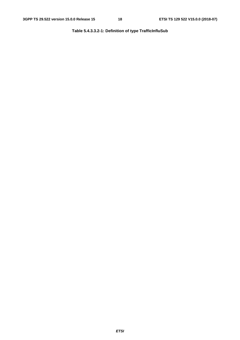**Table 5.4.3.3.2-1: Definition of type TrafficInfluSub**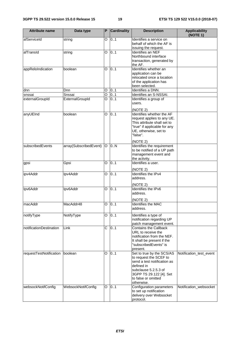| <b>Attribute name</b>   | Data type              | P              | <b>Cardinality</b> | <b>Description</b>                                                                                                                                                                       | <b>Applicability</b><br>(NOTE 1) |
|-------------------------|------------------------|----------------|--------------------|------------------------------------------------------------------------------------------------------------------------------------------------------------------------------------------|----------------------------------|
| afServiceId             | string                 | O              | 0.1                | Identifies a service on<br>behalf of which the AF is<br>issuing the request.                                                                                                             |                                  |
| afTransId               | string                 | O              | 0.1                | <b>Identifies an NEF</b><br>Northbound interface<br>transaction, generated by<br>the AF.                                                                                                 |                                  |
| appReloIndication       | boolean                | O              | 0.1                | Identifies whether an<br>application can be<br>relocated once a location<br>of the application has<br>been selected.                                                                     |                                  |
| dnn                     | Dnn                    | O              | 0.1                | Identifies a DNN.                                                                                                                                                                        |                                  |
| snssai                  | Snssai                 | $\overline{O}$ | 0.1                | Identifies an S-NSSAI.                                                                                                                                                                   |                                  |
| externalGroupId         | ExternalGroupId        | O              | 0.1                | Identifies a group of<br>users.<br>(NOTE 2)                                                                                                                                              |                                  |
| anyUEInd                | boolean                | O              | 0.1                | Identifies whether the AF<br>request applies to any UE.<br>This attribute shall set to<br>"true" if applicable for any<br>UE, otherwise, set to<br>"false".<br>(NOTE 2)                  |                                  |
| subscribedEvents        | array(SubscribedEvent) | $\circ$        | 0.N                | Identifies the requirement<br>to be notified of a UP path<br>management event and<br>the activity.                                                                                       |                                  |
| gpsi                    | Gpsi                   | O              | 0.1                | Identifies a user.<br>(NOTE 2)                                                                                                                                                           |                                  |
| ipv4Addr                | Ipv4Addr               | O              | 0.1                | Identifies the IPv4<br>address.<br>(NOTE 2)                                                                                                                                              |                                  |
| Ipv6Addr                | Ipv6Addr               | O              | 0.1                | Identifies the IPv6<br>address.<br>(NOTE 2)                                                                                                                                              |                                  |
| macAddr                 | MacAddr48              | O              | 0.1                | <b>Identifies the MAC</b><br>address.                                                                                                                                                    |                                  |
| notifyType              | NotifyType             | O              | 0.1                | Identifies a type of<br>notification regarding UP<br>patch management event.                                                                                                             |                                  |
| notificationDestination | Link                   | C              | 0.1                | <b>Contains the Callback</b><br>URL to receive the<br>notification from the NEF.<br>It shall be present if the<br>"subscribedEvents" is<br>present.                                      |                                  |
| requestTestNotification | boolean                | O              | 0.1                | Set to true by the SCS/AS<br>to request the SCEF to<br>send a test notification as<br>defined in<br>subclause 5.2.5.3 of<br>3GPP TS 29.122 [4]. Set<br>to false or omitted<br>otherwise. | Notification_test_event          |
| websockNotifConfig      | WebsockNotifConfig     | O              | 0.1                | Configuration parameters<br>to set up notification<br>delivery over Websocket<br>protocol.                                                                                               | Notification_websocket           |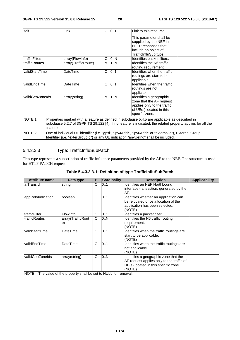| self                   |           | Link                | C. | 01  | Link to this resource.                                                                                      |
|------------------------|-----------|---------------------|----|-----|-------------------------------------------------------------------------------------------------------------|
|                        |           |                     |    |     | This parameter shall be                                                                                     |
|                        |           |                     |    |     | supplied by the NEF in                                                                                      |
|                        |           |                     |    |     | HTTP responses that                                                                                         |
|                        |           |                     |    |     | include an object of                                                                                        |
|                        |           |                     |    |     | TrafficInfluSub type                                                                                        |
| <b>ItrafficFilters</b> |           | array(FlowInfo)     | O  | 0.N | Identifies packet filters.                                                                                  |
| <b>ItrafficRoutes</b>  |           | array(TrafficRoute) | м  | 1N  | Identifies the N6 traffic                                                                                   |
|                        |           |                     |    |     | routing requirement.                                                                                        |
| validStartTime         |           | DateTime            | O  | 0.1 | Identifies when the traffic                                                                                 |
|                        |           |                     |    |     | routings are start to be                                                                                    |
|                        |           |                     |    |     | applicable.                                                                                                 |
| validEndTime           |           | <b>DateTime</b>     | O  | 0.1 | Identifies when the traffic                                                                                 |
|                        |           |                     |    |     | routings are not                                                                                            |
|                        |           |                     |    |     | applicable.                                                                                                 |
| validGeoZoneIds        |           | array(string)       | M  | 1.N | Identifies a geographic                                                                                     |
|                        |           |                     |    |     | zone that the AF request                                                                                    |
|                        |           |                     |    |     | applies only to the traffic                                                                                 |
|                        |           |                     |    |     | of UE(s) located in this                                                                                    |
|                        |           |                     |    |     | specific zone.                                                                                              |
| NOTE 1:                |           |                     |    |     | Properties marked with a feature as defined in subclause 5.4.5 are applicable as described in               |
|                        |           |                     |    |     | subclause 5.2.7 of 3GPP TS 29.122 [4]. If no feature is indicated, the related property applies for all the |
|                        | features. |                     |    |     |                                                                                                             |
| NOTE 2:                |           |                     |    |     | One of individual UE identifier (i.e. "gpsi", "ipv4Addr", "ipv6Addr" or "externalld"), External Group       |
|                        |           |                     |    |     | Identifier (i.e. "exterGroupId") or any UE indication "anyUeInd" shall be included.                         |

### 5.4.3.3.3 Type: TrafficInfluSubPatch

This type represents a subscription of traffic influence parameters provided by the AF to the NEF. The structure is used for HTTP PATCH request.

| <b>Attribute name</b> | Data type                                                   | P | <b>Cardinality</b> | <b>Description</b>                                                                                                                   | <b>Applicability</b> |
|-----------------------|-------------------------------------------------------------|---|--------------------|--------------------------------------------------------------------------------------------------------------------------------------|----------------------|
| lafTransId            | string                                                      | O | 101                | <b>Identifies an NEF Northbound</b><br>interface transaction, generated by the<br>AF.                                                |                      |
| appReloIndication     | boolean                                                     | O | 01                 | Identifies whether an application can<br>be relocated once a location of the<br>application has been selected.<br>(NOTE)             |                      |
| trafficFilter         | FlowInfo                                                    | O | 0.1                | Identifies a packet filter.                                                                                                          |                      |
| <b>trafficRoutes</b>  | array(TrafficRout                                           | O | 0N                 | Identifies the N6 traffic routing                                                                                                    |                      |
|                       | $\epsilon$                                                  |   |                    | requirement.<br>(NOTE)                                                                                                               |                      |
| validStartTime        | <b>DateTime</b>                                             | O | 0.1                | Identifies when the traffic routings are<br>start to be applicable.<br>(NOTE)                                                        |                      |
| validEndTime          | DateTime                                                    | O | 0.1                | Identifies when the traffic routings are<br>not applicable.<br>(NOTE)                                                                |                      |
| validGeoZoneIds       | array(string)                                               | O | 0.N                | Identifies a geographic zone that the<br>AF request applies only to the traffic of<br>UE(s) located in this specific zone.<br>(NOTE) |                      |
| INOTE:                | The value of the property shall be set to NULL for removal. |   |                    |                                                                                                                                      |                      |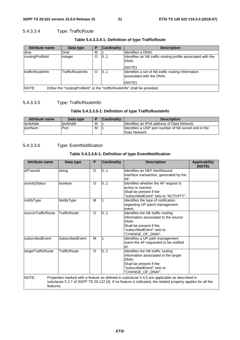### 5.4.3.3.4 Type: TrafficRoute

| <b>Attribute name</b>    | Data type                                                                     | Р        | <b>Cardinality</b> | <b>Description</b>                                                                         |  |  |
|--------------------------|-------------------------------------------------------------------------------|----------|--------------------|--------------------------------------------------------------------------------------------|--|--|
| Idnai                    | Dnai                                                                          | м        |                    | Ildentifies a DNAI.                                                                        |  |  |
| routingProfileId         | integer                                                                       | O        | 101                | Identifies an N6 traffic routing profile associated with the<br>DNAI.<br>(NOTE)            |  |  |
| <b>ItrafficRouteInfo</b> | TrafficRouteInfo                                                              | $\Omega$ | 101                | Identifies a set of N6 traffic routing information<br>lassociated with the DNAI.<br>(NOTE) |  |  |
| INOTE:                   | Either the "routing Profileld" or the "traffic Route Info" shall be provided. |          |                    |                                                                                            |  |  |

#### **Table 5.4.3.3.4-1: Definition of type TrafficRoute**

### 5.4.3.3.5 Type: TrafficRouteInfo

#### **Table 5.4.3.3.5-1: Definition of type TrafficRouteInfo**

| Attribute name  | Data type |   | l Cardinalitv | <b>Description</b>                                                     |
|-----------------|-----------|---|---------------|------------------------------------------------------------------------|
| Ipv6Addr        | llpv6Addr | М |               | Ildentifies an IPv6 address of Data Network.                           |
| <b>IportNum</b> | Port      | М |               | Ildentifies a UDP port number of N6 tunnel end in the<br>Data Network. |

### 5.4.3.3.6 Type: EventNotification

#### **Table 5.4.3.3.6-1: Definition of type EventNotification**

| <b>Attribute name</b> | Data type       | P        | <b>Cardinality</b> | <b>Description</b>                                                                                                                                                                                           | <b>Applicability</b><br>(NOTE) |
|-----------------------|-----------------|----------|--------------------|--------------------------------------------------------------------------------------------------------------------------------------------------------------------------------------------------------------|--------------------------------|
| afTransId             | string          | O        | 0.1                | Identifies an NEF Northbound<br>interface transaction, generated by the<br>AF.                                                                                                                               |                                |
| activityStatus        | boolean         | $\circ$  | 0.1                | Identifies whether the AF request is<br>active or inactive.<br>Shall be present if the<br>'subscribedEvent" sets to "ACTIVITY".                                                                              |                                |
| notifyType            | NotifyType      | M        |                    | Identifies the type of notification<br>regarding UP patch management<br>event.                                                                                                                               |                                |
| sourceTrafficRoute    | TrafficRoute    | $\Omega$ | 0.1                | Identifies the N6 traffic routing<br>information associated to the source<br>DNAI.<br>Shall be present if the<br>"subscribedEvent" sets to<br>'CHANGE OF DNAI".                                              |                                |
| subscribedEvent       | SubscribedEvent | M        |                    | Identifies a UP path management<br>event the AF requested to be notified<br>of.                                                                                                                              |                                |
| targetTrafficRoute    | TrafficRoute    | $\circ$  | 0.1                | Identifies the N6 traffic routing<br>information associated to the target<br>DNAI.<br>Shall be present if the<br>'subscribedEvent" sets to<br>"CHANGE_OF_DNAI".                                              |                                |
| NOTE:<br>features.    |                 |          |                    | Properties marked with a feature as defined in subclause 5.4.5 are applicable as described in<br>subclause 5.2.7 of 3GPP TS 29.122 [4]. If no feature is indicated, the related property applies for all the |                                |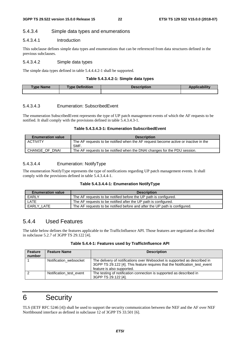#### 5.4.3.4 Simple data types and enumerations

#### 5.4.3.4.1 Introduction

This subclause defines simple data types and enumerations that can be referenced from data structures defined in the previous subclauses.

#### 5.4.3.4.2 Simple data types

The simple data types defined in table 5.4.4.4.2-1 shall be supported.

#### **Table 5.4.3.4.2-1: Simple data types**

| <u>Ivne</u><br><b>Name</b> | <b>Definition</b><br><b>Tvpe</b> | Description | <b>ALCOHOL:</b> |
|----------------------------|----------------------------------|-------------|-----------------|
|                            |                                  |             |                 |

#### 5.4.3.4.3 Enumeration: SubscribedEvent

The enumeration SubscribedEvent represents the type of UP patch management events of which the AF requests to be notified. It shall comply with the provisions defined in table 5.4.3.4.3-1.

#### **Table 5.4.3.4.3-1: Enumeration SubscribedEvent**

| <b>Enumeration value</b> | <b>Description</b>                                                                          |
|--------------------------|---------------------------------------------------------------------------------------------|
| <b>ACTIVITY</b>          | The AF requests to be notified when the AF request become active or inactive in the<br>SMF. |
| CHANGE OF DNAI           | The AF requests to be notified when the DNAI changes for the PDU session.                   |

#### 5.4.3.4.4 Enumeration: NotifyType

The enumeration NotifyType represents the type of notifications regarding UP patch management events. It shall comply with the provisions defined in table 5.4.3.4.4-1.

#### **Table 5.4.3.4.4-1: Enumeration NotifyType**

| <b>Enumeration value</b> | <b>Description</b>                                                         |
|--------------------------|----------------------------------------------------------------------------|
| EARLY                    | The AF requests to be notified before the UP path is configured.           |
| LATE                     | The AF requests to be notified after the UP path is configured.            |
| EARLY LATE               | The AF requests to be notified before and after the UP path is configured. |

### 5.4.4 Used Features

The table below defines the features applicable to the TrafficInfluence API. Those features are negotiated as described in subclause 5.2.7 of 3GPP TS 29.122 [4].

| Table 5.4.4-1: Features used by TrafficInfluence API |  |
|------------------------------------------------------|--|
|------------------------------------------------------|--|

| <b>Feature</b><br>number | <b>Feature Name</b>     | <b>Description</b>                                                                                                                                                                    |
|--------------------------|-------------------------|---------------------------------------------------------------------------------------------------------------------------------------------------------------------------------------|
|                          | Notification websocket  | The delivery of notifications over Websocket is supported as described in<br>3GPP TS 29.122 [4]. This feature requires that the Notification test event<br>feature is also supported. |
|                          | Notification test event | The testing of notification connection is supported as described in<br>3GPP TS 29.122 [4].                                                                                            |

# 6 Security

TLS (IETF RFC 5246 [4]) shall be used to support the security communication between the NEF and the AF over NEF Northbound interface as defined in subclause 12 of 3GPP TS 33.501 [6].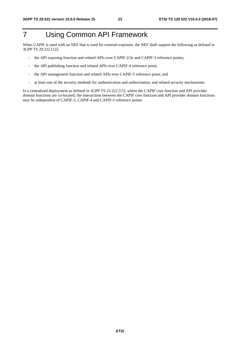# 7 Using Common API Framework

When CAPIF is used with an NEF that is used for external exposure, the NEF shall support the following as defined in 3GPP TS 29.222 [12]:

- the API exposing function and related APIs over CAPIF-2/2e and CAPIF-3 reference points;
- the API publishing function and related APIs over CAPIF-4 reference point;
- the API management function and related APIs over CAPIF-5 reference point; and
- at least one of the security methods for authentication and authorization, and related security mechanisms.

In a centralized deployment as defined in 3GPP TS 23.222 [11], where the CAPIF core function and API provider domain functions are co-located, the interactions between the CAPIF core function and API provider domain functions may be independent of CAPIF-3, CAPIF-4 and CAPIF-5 reference points.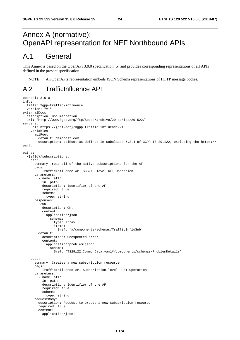# Annex A (normative): OpenAPI representation for NEF Northbound APIs

# A.1 General

This Annex is based on the OpenAPI 3.0.0 specification [5] and provides corresponding representations of all APIs defined in the present specification.

NOTE: An OpenAPIs representation embeds JSON Schema representations of HTTP message bodies.

# A.2 TrafficInfluence API

```
openapi: 3.0.0 
info: 
   title: 3gpp-traffic-influence 
   version: "v1" 
externalDocs: 
   description: Documentation 
   url: 'http://www.3gpp.org/ftp/Specs/archive/29_series/29.522/' 
servers: 
  - url: https://{apiRoot}/3gpp-traffic-influence/v1
     variables: 
       apiRoot: 
         default: demohost.com 
         description: apiRoot as defined in subclause 5.2.4 of 3GPP TS 29.122, excluding the https:// 
part. 
paths: 
   /{afId}/subscriptions: 
     get: 
       summary: read all of the active subscriptions for the AF 
       tags: 
          - TrafficInfluence API SCS/AS level GET Operation 
       parameters: 
          - name: afId 
            in: path 
            description: Identifier of the AF 
            required: true 
            schema: 
              type: string 
       responses: 
          '200': 
            description: OK. 
            content: 
              application/json: 
                schema: 
                   type: array 
                   items: 
                     $ref: '#/components/schemas/TrafficInfluSub' 
          default: 
            description: Unexpected error 
            content: 
              application/problem+json: 
                schema: 
                  $ref: 'TS29122_CommonData.yaml#/components/schemas/ProblemDetails' 
     post: 
       summary: Creates a new subscription resource 
       tags: 
          - TrafficInfluence API Subscription level POST Operation 
       parameters: 
         - name: afId
            in: path 
           description: Identifier of the AF 
            required: true 
            schema: 
              type: string 
       requestBody: 
         description: Request to create a new subscription resource 
         required: true 
          content: 
            application/json:
```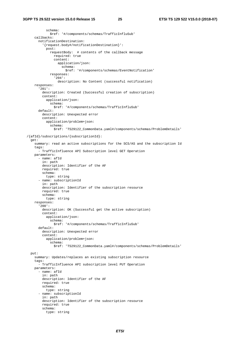schema: \$ref: '#/components/schemas/TrafficInfluSub' callbacks: notificationDestination: '{request.body#/notificationDestination}': post: requestBody: # contents of the callback message required: true content: application/json: schema: \$ref: '#/components/schemas/EventNotification' responses: '204': description: No Content (successful notification) responses: '201': description: Created (Successful creation of subscription) content: application/json: schema: \$ref: '#/components/schemas/TrafficInfluSub' default: description: Unexpected error content: application/problem+json: schema: \$ref: 'TS29122\_CommonData.yaml#/components/schemas/ProblemDetails' /{afId}/subscriptions/{subscriptionId}: get: summary: read an active subscriptions for the SCS/AS and the subscription Id tags: - TrafficInfluence API Subscription level GET Operation parameters: - name: afId in: path description: Identifier of the AF required: true schema: type: string - name: subscriptionId in: path description: Identifier of the subscription resource required: true schema: type: string responses: '200': description: OK (Successful get the active subscription) content: application/json: schema: \$ref: '#/components/schemas/TrafficInfluSub' default: description: Unexpected error content: application/problem+json: schema: \$ref: 'TS29122\_CommonData.yaml#/components/schemas/ProblemDetails' put: summary: Updates/replaces an existing subscription resource tags: - TrafficInfluence API subscription level PUT Operation parameters: - name: afId in: path description: Identifier of the AF required: true schema: type: string - name: subscriptionId in: path description: Identifier of the subscription resource required: true schema: type: string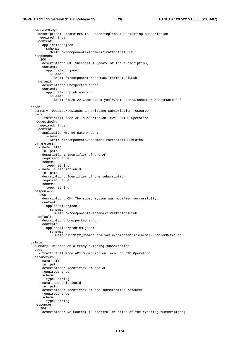#### **3GPP TS 29.522 version 15.0.0 Release 15 26 ETSI TS 129 522 V15.0.0 (2018-07)**

 requestBody: description: Parameters to update/replace the existing subscription required: true content: application/json: schema: \$ref: '#/components/schemas/TrafficInfluSub' responses: '200': description: OK (Successful update of the subscription) content: application/json: schema: \$ref: '#/components/schemas/TrafficInfluSub' default: description: Unexpected error content: application/problem+json: schema: \$ref: 'TS29122\_CommonData.yaml#/components/schemas/ProblemDetails' patch: summary: Updates/replaces an existing subscription resource tags: - TrafficInfluence API subscription level PATCH Operation requestBody: required: true content: application/merge-patch+json: schema: \$ref: '#/components/schemas/TrafficInfluSubPatch' parameters: - name: afId in: path description: Identifier of the AF required: true schema: type: string - name: subscriptionId in: path description: Identifier of the subscription required: true schema: type: string responses: '200': description: OK. The subscription was modified successfully. content: application/json: schema: \$ref: '#/components/schemas/TrafficInfluSub' default: description: Unexpected error content: application/problem+json: schema: \$ref: 'TS29122\_CommonData.yaml#/components/schemas/ProblemDetails' delete: summary: Deletes an already existing subscription tags: - TrafficInfluence API Subscription level DELETE Operation parameters: - name: afId in: path description: Identifier of the AF required: true schema: type: string - name: subscriptionId in: path description: Identifier of the subscription resource required: true schema: type: string responses: '204': description: No Content (Successful deletion of the existing subscription)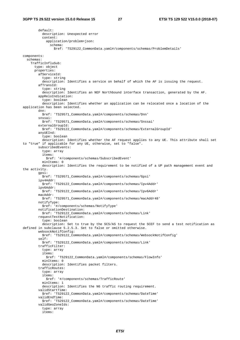default: description: Unexpected error content: application/problem+json: schema: \$ref: 'TS29122\_CommonData.yaml#/components/schemas/ProblemDetails' components: schemas: TrafficInfluSub: type: object properties: afServiceId: type: string description: Identifies a service on behalf of which the AF is issuing the request. afTransId: type: string description: Identifies an NEF Northbound interface transaction, generated by the AF. appReloIndication: type: boolean description: Identifies whether an application can be relocated once a location of the application has been selected. dnn: \$ref: 'TS29571\_CommonData.yaml#/components/schemas/Dnn' snssai: \$ref: 'TS29571\_CommonData.yaml#/components/schemas/Snssai' externalGroupId: \$ref: 'TS29122\_CommonData.yaml#/components/schemas/ExternalGroupId' anyUEInd: type: boolean description: Identifies whether the AF request applies to any UE. This attribute shall set to "true" if applicable for any UE, otherwise, set to "false". subscribedEvents: type: array items: \$ref: '#/components/schemas/SubscribedEvent' minItems: 0 description: Identifies the requirement to be notified of a UP path management event and the activity. gpsi: \$ref: 'TS29571\_CommonData.yaml#/components/schemas/Gpsi' ipv4Addr: .<br>\$ref: 'TS29122 CommonData.yaml#/components/schemas/Ipv4Addr' ipv6Addr: \$ref: 'TS29122\_CommonData.yaml#/components/schemas/Ipv6Addr' macAddr: \$ref: 'TS29571\_CommonData.yaml#/components/schemas/macAddr48' notifyType: \$ref: '#/components/schemas/NotifyType' notificationDestination: \$ref: 'TS29122\_CommonData.yaml#/components/schemas/Link' requestTestNotification: type: boolean description: Set to true by the SCS/AS to request the SCEF to send a test notification as defined in subclause 5.2.5.3. Set to false or omitted otherwise. websockNotifConfig: \$ref: 'TS29122\_CommonData.yaml#/components/schemas/WebsockNotifConfig' self: \$ref: 'TS29122\_CommonData.yaml#/components/schemas/Link' trafficFilter: type: array items: \$ref: 'TS29122\_CommonData.yaml#/components/schemas/FlowInfo' minItems: 0 description: Identifies packet filters. trafficRoutes: type: array items: \$ref: '#/components/schemas/TrafficRoute' min<sub>Ttems</sub>: 1 description: Identifies the N6 traffic routing requirement. validStartTime: \$ref: 'TS29122\_CommonData.yaml#/components/schemas/DateTime' validEndTime: \$ref: 'TS29122\_CommonData.yaml#/components/schemas/DateTime' validGeoZoneIds: type: array items: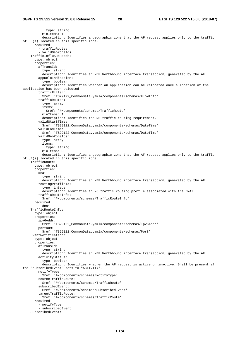```
 type: string 
           minItems: 1 
           description: Identifies a geographic zone that the AF request applies only to the traffic 
of UE(s) located in this specific zone. 
       required: 
         - trafficRoutes 
          - validGeoZoneIds 
     TrafficInfluSubPatch: 
       type: object 
       properties: 
         afTransId: 
           type: string 
           description: Identifies an NEF Northbound interface transaction, generated by the AF. 
         appReloIndication: 
           type: boolean 
           description: Identifies whether an application can be relocated once a location of the 
application has been selected. 
         trafficFilter: 
           $ref: 'TS29122_CommonData.yaml#/components/schemas/FlowInfo' 
         trafficRoutes: 
           type: array 
           items: 
              $ref: '#/components/schemas/TrafficRoute' 
           minItems: 1 
           description: Identifies the N6 traffic routing requirement. 
         validStartTime: 
           $ref: 'TS29122_CommonData.yaml#/components/schemas/DateTime' 
         validEndTime: 
           $ref: 'TS29122_CommonData.yaml#/components/schemas/DateTime' 
         validGeoZoneIds: 
           type: array 
           items: 
             type: string 
           minItems: 0 
           description: Identifies a geographic zone that the AF request applies only to the traffic 
of UE(s) located in this specific zone. 
     TrafficRoute: 
       type: object 
       properties: 
         dnai: 
           type: string 
           description: Identifies an NEF Northbound interface transaction, generated by the AF. 
         routingProfileId: 
           type: integer 
           description: Identifies an N6 traffic routing profile associated with the DNAI. 
         trafficRouteInfo: 
           $ref: '#/components/schemas/TrafficRouteInfo' 
       required: 
          - dnai 
     TrafficRouteInfo: 
       type: object 
       properties: 
         ipv6Addr: 
           $ref: 'TS29122_CommonData.yaml#/components/schemas/Ipv6Addr' 
         portNum: 
           $ref: 'TS29122_CommonData.yaml#/components/schemas/Port' 
     EventNotification: 
       type: object 
       properties: 
         afTransId: 
           type: string 
           description: Identifies an NEF Northbound interface transaction, generated by the AF. 
         activityStatus: 
           type: boolean 
           description: Identifies whether the AF request is active or inactive. Shall be present if 
the "subscribedEvent" sets to "ACTIVITY". 
         notifyType: 
          $ref: '#/components/schemas/NotifyType' 
         sourceTrafficRoute: 
           $ref: '#/components/schemas/TrafficRoute' 
         subscribedEvent: 
           $ref: '#/components/schemas/SubscribedEvent' 
         targetTrafficRoute: 
           $ref: '#/components/schemas/TrafficRoute' 
       required: 
         - notifyType 
          - subscribedEvent 
     SubscribedEvent:
```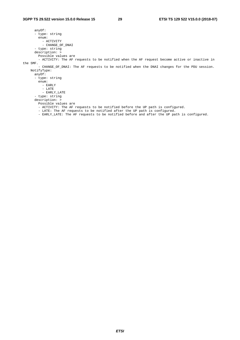anyOf: - type: string enum: - ACTIVITY - CHANGE\_OF\_DNAI - type: string description: > Possible values are - ACTIVITY: The AF requests to be notified when the AF request become active or inactive in the SMF. - CHANGE\_OF\_DNAI: The AF requests to be notified when the DNAI changes for the PDU session. NotifyType: anyOf: - type: string enum: - EARLY - LATE - EARLY\_LATE - type: string description: > Possible values are - ACTIVITY: The AF requests to be notified before the UP path is configured. - LATE: The AF requests to be notified after the UP path is configured. - EARLY\_LATE: The AF requests to be notified before and after the UP path is configured.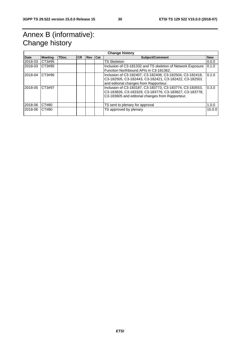# Annex B (informative): Change history

| <b>Change history</b> |                |       |           |       |     |                                                                                                                                                                        |            |
|-----------------------|----------------|-------|-----------|-------|-----|------------------------------------------------------------------------------------------------------------------------------------------------------------------------|------------|
| <b>Date</b>           | <b>Meeting</b> | TDoc. | <b>CR</b> | l Rev | Cat | Subject/Comment                                                                                                                                                        | <b>New</b> |
| 2018-03               | CT3#95         |       |           |       |     | <b>TS Skeleton</b>                                                                                                                                                     | 0.0.0      |
| 2018-03               | CT3#95         |       |           |       |     | Inclusion of C3-181332 and TS skeleton of Network Exposure<br>Function Northbound APIs in C3-181362.                                                                   | 0.1.0      |
| 2018-04               | CT3#96         |       |           |       |     | Inclusion of C3-182407, C3-182408, C3-182504, C3-182418,<br>C3-182505, C3-182443, C3-182421, C3-182422, C3-182501<br>and editorial changes from Rapporteur.            | 0.2.0      |
| 2018-05               | CT3#97         |       |           |       |     | Inclusion of C3-183187, C3-183773, C3-183774, C3-183553,<br>C3-183826, C3-183329, C3-183776, C3-183827, C3-183778,<br>C3-183605 and editorial changes from Rapporteur. | 0.3.0      |
| 2018-06               | CT#80          |       |           |       |     | TS sent to plenary for approval                                                                                                                                        | 1.0.0      |
| 2018-06               | CT#80          |       |           |       |     | TS approved by plenary                                                                                                                                                 | 15.0.0     |